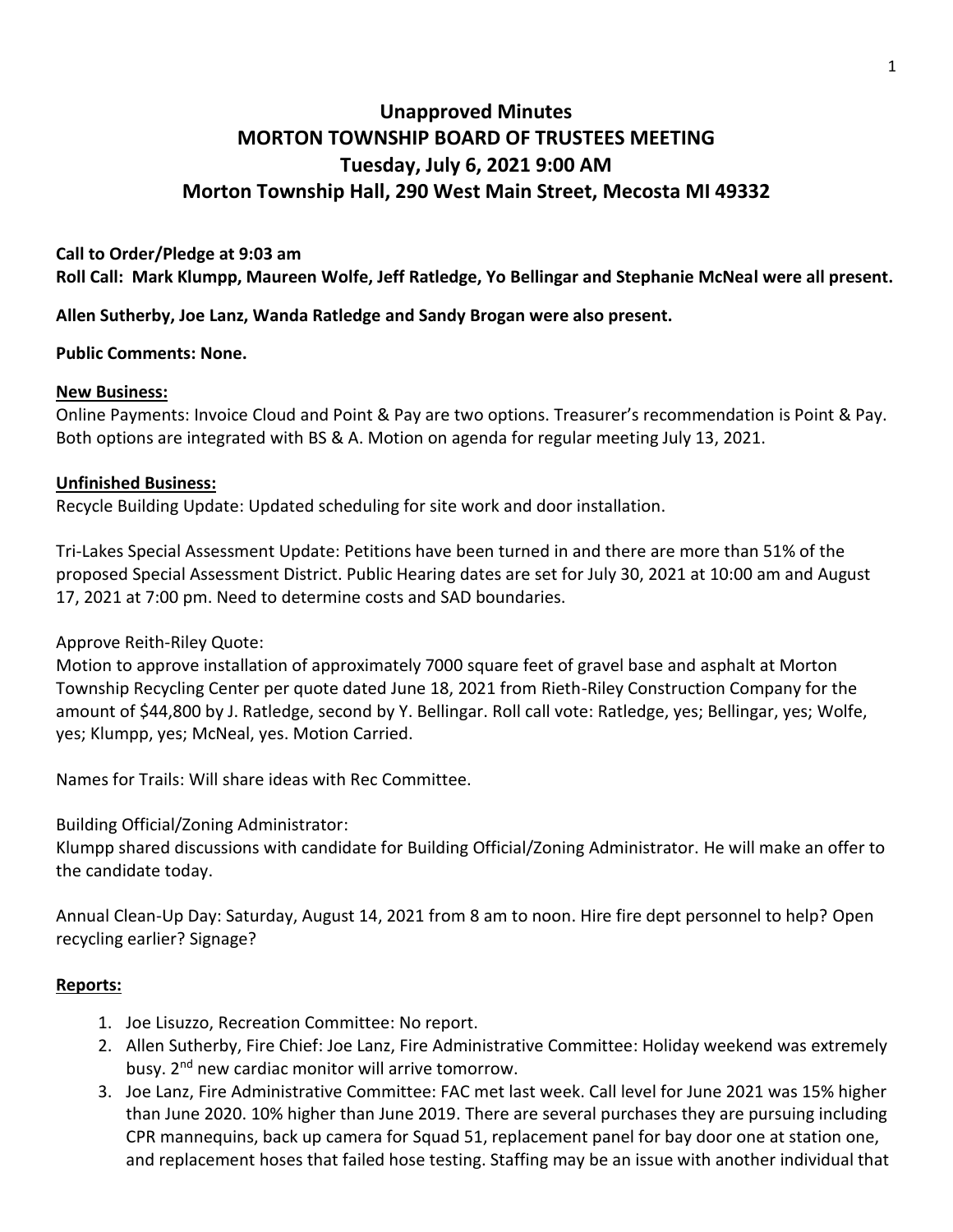# **Unapproved Minutes MORTON TOWNSHIP BOARD OF TRUSTEES MEETING Tuesday, July 6, 2021 9:00 AM Morton Township Hall, 290 West Main Street, Mecosta MI 49332**

### **Call to Order/Pledge at 9:03 am**

**Roll Call: Mark Klumpp, Maureen Wolfe, Jeff Ratledge, Yo Bellingar and Stephanie McNeal were all present.** 

**Allen Sutherby, Joe Lanz, Wanda Ratledge and Sandy Brogan were also present.**

#### **Public Comments: None.**

#### **New Business:**

Online Payments: Invoice Cloud and Point & Pay are two options. Treasurer's recommendation is Point & Pay. Both options are integrated with BS & A. Motion on agenda for regular meeting July 13, 2021.

#### **Unfinished Business:**

Recycle Building Update: Updated scheduling for site work and door installation.

Tri-Lakes Special Assessment Update: Petitions have been turned in and there are more than 51% of the proposed Special Assessment District. Public Hearing dates are set for July 30, 2021 at 10:00 am and August 17, 2021 at 7:00 pm. Need to determine costs and SAD boundaries.

Approve Reith-Riley Quote:

Motion to approve installation of approximately 7000 square feet of gravel base and asphalt at Morton Township Recycling Center per quote dated June 18, 2021 from Rieth-Riley Construction Company for the amount of \$44,800 by J. Ratledge, second by Y. Bellingar. Roll call vote: Ratledge, yes; Bellingar, yes; Wolfe, yes; Klumpp, yes; McNeal, yes. Motion Carried.

Names for Trails: Will share ideas with Rec Committee.

Building Official/Zoning Administrator:

Klumpp shared discussions with candidate for Building Official/Zoning Administrator. He will make an offer to the candidate today.

Annual Clean-Up Day: Saturday, August 14, 2021 from 8 am to noon. Hire fire dept personnel to help? Open recycling earlier? Signage?

#### **Reports:**

- 1. Joe Lisuzzo, Recreation Committee: No report.
- 2. Allen Sutherby, Fire Chief: Joe Lanz, Fire Administrative Committee: Holiday weekend was extremely busy. 2<sup>nd</sup> new cardiac monitor will arrive tomorrow.
- 3. Joe Lanz, Fire Administrative Committee: FAC met last week. Call level for June 2021 was 15% higher than June 2020. 10% higher than June 2019. There are several purchases they are pursuing including CPR mannequins, back up camera for Squad 51, replacement panel for bay door one at station one, and replacement hoses that failed hose testing. Staffing may be an issue with another individual that